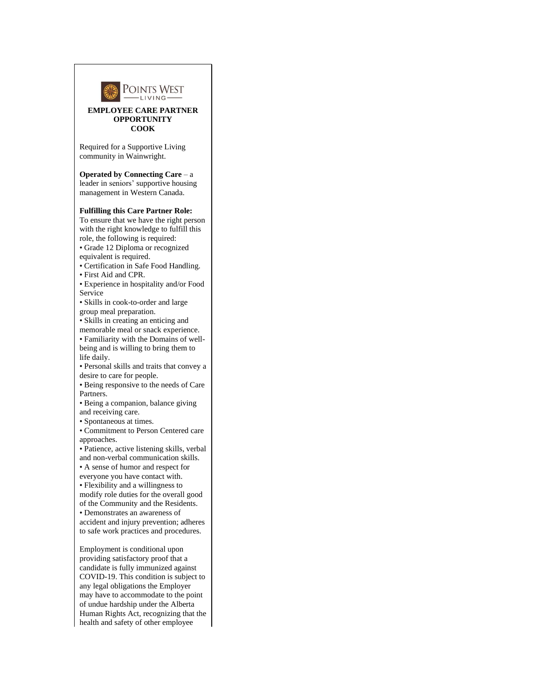